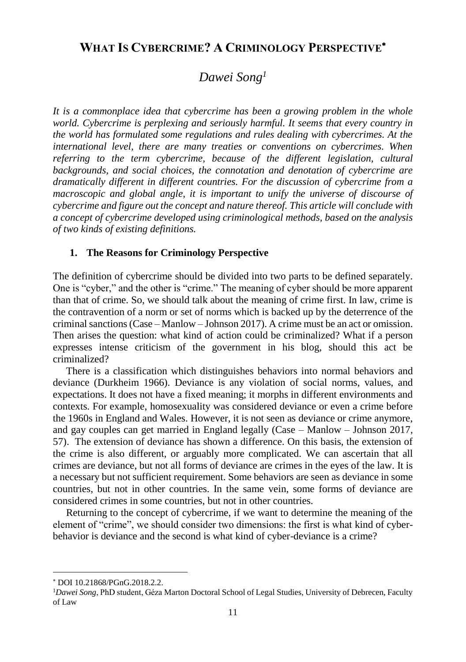# **WHAT IS CYBERCRIME? A CRIMINOLOGY PERSPECTIVE**

# *Dawei Song<sup>1</sup>*

*It is a commonplace idea that cybercrime has been a growing problem in the whole world. Cybercrime is perplexing and seriously harmful. It seems that every country in the world has formulated some regulations and rules dealing with cybercrimes. At the international level, there are many treaties or conventions on cybercrimes. When referring to the term cybercrime, because of the different legislation, cultural backgrounds, and social choices, the connotation and denotation of cybercrime are dramatically different in different countries. For the discussion of cybercrime from a macroscopic and global angle, it is important to unify the universe of discourse of cybercrime and figure out the concept and nature thereof. This article will conclude with a concept of cybercrime developed using criminological methods, based on the analysis of two kinds of existing definitions.*

### **1. The Reasons for Criminology Perspective**

The definition of cybercrime should be divided into two parts to be defined separately. One is "cyber," and the other is "crime." The meaning of cyber should be more apparent than that of crime. So, we should talk about the meaning of crime first. In law, crime is the contravention of a norm or set of norms which is backed up by the deterrence of the criminal sanctions (Case – Manlow – Johnson 2017). A crime must be an act or omission. Then arises the question: what kind of action could be criminalized? What if a person expresses intense criticism of the government in his blog, should this act be criminalized?

There is a classification which distinguishes behaviors into normal behaviors and deviance (Durkheim 1966). Deviance is any violation of social norms, values, and expectations. It does not have a fixed meaning; it morphs in different environments and contexts. For example, homosexuality was considered deviance or even a crime before the 1960s in England and Wales. However, it is not seen as deviance or crime anymore, and gay couples can get married in England legally (Case – Manlow – Johnson 2017, 57). The extension of deviance has shown a difference. On this basis, the extension of the crime is also different, or arguably more complicated. We can ascertain that all crimes are deviance, but not all forms of deviance are crimes in the eyes of the law. It is a necessary but not sufficient requirement. Some behaviors are seen as deviance in some countries, but not in other countries. In the same vein, some forms of deviance are considered crimes in some countries, but not in other countries.

Returning to the concept of cybercrime, if we want to determine the meaning of the element of "crime", we should consider two dimensions: the first is what kind of cyberbehavior is deviance and the second is what kind of cyber-deviance is a crime?

l

DOI 10.21868/PGnG.2018.2.2.

<sup>1</sup>*Dawei Song*, PhD student, Géza Marton Doctoral School of Legal Studies, University of Debrecen, Faculty of Law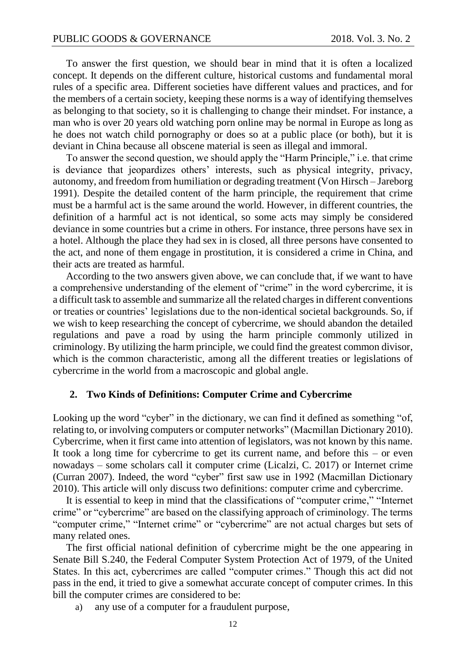To answer the first question, we should bear in mind that it is often a localized concept. It depends on the different culture, historical customs and fundamental moral rules of a specific area. Different societies have different values and practices, and for the members of a certain society, keeping these norms is a way of identifying themselves as belonging to that society, so it is challenging to change their mindset. For instance, a man who is over 20 years old watching porn online may be normal in Europe as long as he does not watch child pornography or does so at a public place (or both), but it is deviant in China because all obscene material is seen as illegal and immoral.

To answer the second question, we should apply the "Harm Principle," i.e. that crime is deviance that jeopardizes others' interests, such as physical integrity, privacy, autonomy, and freedom from humiliation or degrading treatment (Von Hirsch – Jareborg 1991). Despite the detailed content of the harm principle, the requirement that crime must be a harmful act is the same around the world. However, in different countries, the definition of a harmful act is not identical, so some acts may simply be considered deviance in some countries but a crime in others. For instance, three persons have sex in a hotel. Although the place they had sex in is closed, all three persons have consented to the act, and none of them engage in prostitution, it is considered a crime in China, and their acts are treated as harmful.

According to the two answers given above, we can conclude that, if we want to have a comprehensive understanding of the element of "crime" in the word cybercrime, it is a difficult task to assemble and summarize all the related charges in different conventions or treaties or countries' legislations due to the non-identical societal backgrounds. So, if we wish to keep researching the concept of cybercrime, we should abandon the detailed regulations and pave a road by using the harm principle commonly utilized in criminology. By utilizing the harm principle, we could find the greatest common divisor, which is the common characteristic, among all the different treaties or legislations of cybercrime in the world from a macroscopic and global angle.

#### **2. Two Kinds of Definitions: Computer Crime and Cybercrime**

Looking up the word "cyber" in the dictionary, we can find it defined as something "of, relating to, or involving computers or computer networks" (Macmillan Dictionary 2010). Cybercrime, when it first came into attention of legislators, was not known by this name. It took a long time for cybercrime to get its current name, and before this – or even nowadays – some scholars call it computer crime (Licalzi, C. 2017) or Internet crime (Curran 2007). Indeed, the word "cyber" first saw use in 1992 (Macmillan Dictionary 2010). This article will only discuss two definitions: computer crime and cybercrime.

It is essential to keep in mind that the classifications of "computer crime," "Internet crime" or "cybercrime" are based on the classifying approach of criminology. The terms "computer crime," "Internet crime" or "cybercrime" are not actual charges but sets of many related ones.

The first official national definition of cybercrime might be the one appearing in Senate Bill S.240, the Federal Computer System Protection Act of 1979, of the United States. In this act, cybercrimes are called "computer crimes." Though this act did not pass in the end, it tried to give a somewhat accurate concept of computer crimes. In this bill the computer crimes are considered to be:

a) any use of a computer for a fraudulent purpose,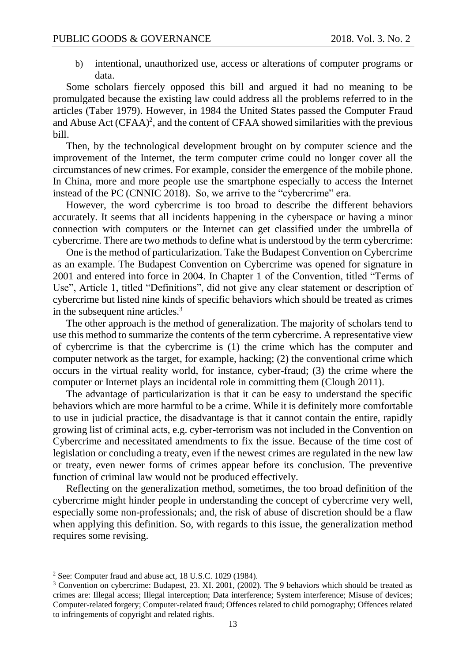b) intentional, unauthorized use, access or alterations of computer programs or data.

Some scholars fiercely opposed this bill and argued it had no meaning to be promulgated because the existing law could address all the problems referred to in the articles (Taber 1979). However, in 1984 the United States passed the Computer Fraud and Abuse Act  $(CFAA)^2$ , and the content of CFAA showed similarities with the previous bill.

Then, by the technological development brought on by computer science and the improvement of the Internet, the term computer crime could no longer cover all the circumstances of new crimes. For example, consider the emergence of the mobile phone. In China, more and more people use the smartphone especially to access the Internet instead of the PC (CNNIC 2018). So, we arrive to the "cybercrime" era.

However, the word cybercrime is too broad to describe the different behaviors accurately. It seems that all incidents happening in the cyberspace or having a minor connection with computers or the Internet can get classified under the umbrella of cybercrime. There are two methods to define what is understood by the term cybercrime:

One is the method of particularization. Take the Budapest Convention on Cybercrime as an example. The Budapest Convention on Cybercrime was opened for signature in 2001 and entered into force in 2004. In Chapter 1 of the Convention, titled "Terms of Use", Article 1, titled "Definitions", did not give any clear statement or description of cybercrime but listed nine kinds of specific behaviors which should be treated as crimes in the subsequent nine articles.<sup>3</sup>

The other approach is the method of generalization. The majority of scholars tend to use this method to summarize the contents of the term cybercrime. A representative view of cybercrime is that the cybercrime is (1) the crime which has the computer and computer network as the target, for example, hacking; (2) the conventional crime which occurs in the virtual reality world, for instance, cyber-fraud; (3) the crime where the computer or Internet plays an incidental role in committing them (Clough 2011).

The advantage of particularization is that it can be easy to understand the specific behaviors which are more harmful to be a crime. While it is definitely more comfortable to use in judicial practice, the disadvantage is that it cannot contain the entire, rapidly growing list of criminal acts, e.g. cyber-terrorism was not included in the Convention on Cybercrime and necessitated amendments to fix the issue. Because of the time cost of legislation or concluding a treaty, even if the newest crimes are regulated in the new law or treaty, even newer forms of crimes appear before its conclusion. The preventive function of criminal law would not be produced effectively.

Reflecting on the generalization method, sometimes, the too broad definition of the cybercrime might hinder people in understanding the concept of cybercrime very well, especially some non-professionals; and, the risk of abuse of discretion should be a flaw when applying this definition. So, with regards to this issue, the generalization method requires some revising.

l

<sup>2</sup> See: Computer fraud and abuse act, 18 U.S.C. 1029 (1984).

<sup>3</sup> Convention on cybercrime: Budapest, 23. XI. 2001, (2002). The 9 behaviors which should be treated as crimes are: Illegal access; Illegal interception; Data interference; System interference; Misuse of devices; Computer-related forgery; Computer-related fraud; Offences related to child pornography; Offences related to infringements of copyright and related rights.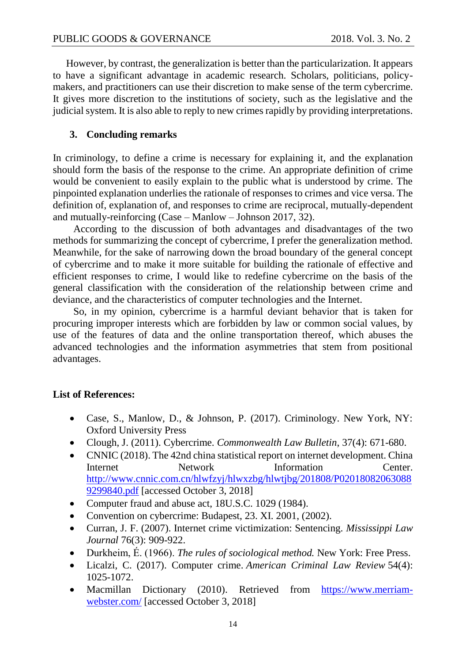However, by contrast, the generalization is better than the particularization. It appears to have a significant advantage in academic research. Scholars, politicians, policymakers, and practitioners can use their discretion to make sense of the term cybercrime. It gives more discretion to the institutions of society, such as the legislative and the judicial system. It is also able to reply to new crimes rapidly by providing interpretations.

### **3. Concluding remarks**

In criminology, to define a crime is necessary for explaining it, and the explanation should form the basis of the response to the crime. An appropriate definition of crime would be convenient to easily explain to the public what is understood by crime. The pinpointed explanation underlies the rationale of responses to crimes and vice versa. The definition of, explanation of, and responses to crime are reciprocal, mutually-dependent and mutually-reinforcing (Case – Manlow – Johnson 2017, 32).

According to the discussion of both advantages and disadvantages of the two methods for summarizing the concept of cybercrime, I prefer the generalization method. Meanwhile, for the sake of narrowing down the broad boundary of the general concept of cybercrime and to make it more suitable for building the rationale of effective and efficient responses to crime, I would like to redefine cybercrime on the basis of the general classification with the consideration of the relationship between crime and deviance, and the characteristics of computer technologies and the Internet.

So, in my opinion, cybercrime is a harmful deviant behavior that is taken for procuring improper interests which are forbidden by law or common social values, by use of the features of data and the online transportation thereof, which abuses the advanced technologies and the information asymmetries that stem from positional advantages.

## **List of References:**

- Case, S., Manlow, D., & Johnson, P. (2017). Criminology. New York, NY: Oxford University Press
- Clough, J. (2011). Cybercrime. *Commonwealth Law Bulletin*, 37(4): 671-680.
- CNNIC (2018). The 42nd china statistical report on internet development. China Internet Network Information Center. [http://www.cnnic.com.cn/hlwfzyj/hlwxzbg/hlwtjbg/201808/P02018082063088](http://www.cnnic.com.cn/hlwfzyj/hlwxzbg/hlwtjbg/201808/P020180820630889299840.pdf) [9299840.pdf](http://www.cnnic.com.cn/hlwfzyj/hlwxzbg/hlwtjbg/201808/P020180820630889299840.pdf) [accessed October 3, 2018]
- Computer fraud and abuse act, 18U.S.C. 1029 (1984).
- Convention on cybercrime: Budapest, 23. XI. 2001, (2002).
- Curran, J. F. (2007). Internet crime victimization: Sentencing. *Mississippi Law Journal* 76(3): 909-922.
- Durkheim, É. (1966). *The rules of sociological method.* New York: Free Press.
- Licalzi, C. (2017). Computer crime. *American Criminal Law Review* 54(4): 1025-1072.
- Macmillan Dictionary (2010). Retrieved from [https://www.merriam](https://www.merriam-webster.com/)[webster.com/](https://www.merriam-webster.com/) [accessed October 3, 2018]